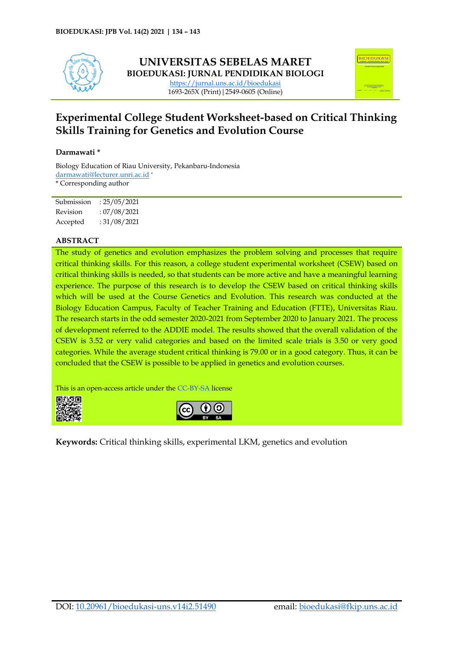

## **UNIVERSITAS SEBELAS MARET BIOEDUKASI: JURNAL PENDIDIKAN BIOLOGI** <https://jurnal.uns.ac.id/bioedukasi> 1693-265X (Print)|2549-0605 (Online)



# **Experimental College Student Worksheet-based on Critical Thinking Skills Training for Genetics and Evolution Course**

#### **Darmawati \***

Biology Education of Riau University, Pekanbaru-Indonesia [darmawati@lecturer.unri.ac.id](mailto:darmawati@lecturer.unri.ac.id) \* \* Corresponding author

| Submission | : 25/05/2021 |
|------------|--------------|
| Revision   | :07/08/2021  |
| Accepted   | :31/08/2021  |

#### **ABSTRACT**

The study of genetics and evolution emphasizes the problem solving and processes that require critical thinking skills. For this reason, a college student experimental worksheet (CSEW) based on critical thinking skills is needed, so that students can be more active and have a meaningful learning experience. The purpose of this research is to develop the CSEW based on critical thinking skills which will be used at the Course Genetics and Evolution. This research was conducted at the Biology Education Campus, Faculty of Teacher Training and Education (FTTE), Universitas Riau. The research starts in the odd semester 2020-2021 from September 2020 to January 2021. The process of development referred to the ADDIE model. The results showed that the overall validation of the CSEW is 3.52 or very valid categories and based on the limited scale trials is 3.50 or very good categories. While the average student critical thinking is 79.00 or in a good category. Thus, it can be concluded that the CSEW is possible to be applied in genetics and evolution courses.

This is an open-access article under th[e CC-BY-SA](https://creativecommons.org/licenses/by-sa/4.0/) license





**Keywords:** Critical thinking skills, experimental LKM, genetics and evolution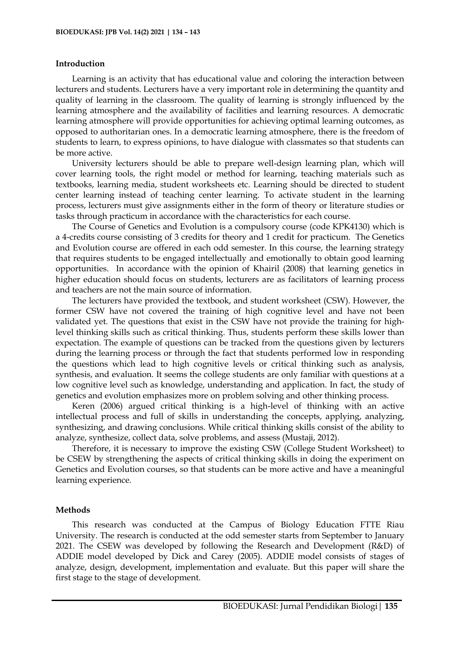#### **Introduction**

Learning is an activity that has educational value and coloring the interaction between lecturers and students. Lecturers have a very important role in determining the quantity and quality of learning in the classroom. The quality of learning is strongly influenced by the learning atmosphere and the availability of facilities and learning resources. A democratic learning atmosphere will provide opportunities for achieving optimal learning outcomes, as opposed to authoritarian ones. In a democratic learning atmosphere, there is the freedom of students to learn, to express opinions, to have dialogue with classmates so that students can be more active.

University lecturers should be able to prepare well-design learning plan, which will cover learning tools, the right model or method for learning, teaching materials such as textbooks, learning media, student worksheets etc. Learning should be directed to student center learning instead of teaching center learning. To activate student in the learning process, lecturers must give assignments either in the form of theory or literature studies or tasks through practicum in accordance with the characteristics for each course.

The Course of Genetics and Evolution is a compulsory course (code KPK4130) which is a 4-credits course consisting of 3 credits for theory and 1 credit for practicum. The Genetics and Evolution course are offered in each odd semester. In this course, the learning strategy that requires students to be engaged intellectually and emotionally to obtain good learning opportunities. In accordance with the opinion of Khairil (2008) that learning genetics in higher education should focus on students, lecturers are as facilitators of learning process and teachers are not the main source of information.

The lecturers have provided the textbook, and student worksheet (CSW). However, the former CSW have not covered the training of high cognitive level and have not been validated yet. The questions that exist in the CSW have not provide the training for highlevel thinking skills such as critical thinking. Thus, students perform these skills lower than expectation. The example of questions can be tracked from the questions given by lecturers during the learning process or through the fact that students performed low in responding the questions which lead to high cognitive levels or critical thinking such as analysis, synthesis, and evaluation. It seems the college students are only familiar with questions at a low cognitive level such as knowledge, understanding and application. In fact, the study of genetics and evolution emphasizes more on problem solving and other thinking process.

Keren (2006) argued critical thinking is a high-level of thinking with an active intellectual process and full of skills in understanding the concepts, applying, analyzing, synthesizing, and drawing conclusions. While critical thinking skills consist of the ability to analyze, synthesize, collect data, solve problems, and assess (Mustaji, 2012).

Therefore, it is necessary to improve the existing CSW (College Student Worksheet) to be CSEW by strengthening the aspects of critical thinking skills in doing the experiment on Genetics and Evolution courses, so that students can be more active and have a meaningful learning experience.

#### **Methods**

This research was conducted at the Campus of Biology Education FTTE Riau University. The research is conducted at the odd semester starts from September to January 2021. The CSEW was developed by following the Research and Development (R&D) of ADDIE model developed by Dick and Carey (2005). ADDIE model consists of stages of analyze, design, development, implementation and evaluate. But this paper will share the first stage to the stage of development.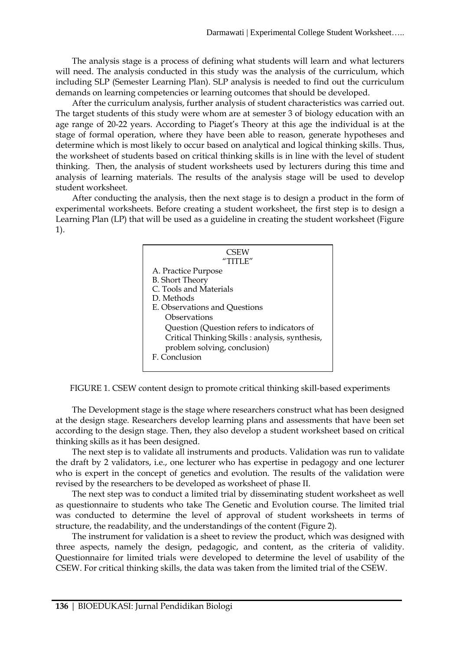The analysis stage is a process of defining what students will learn and what lecturers will need. The analysis conducted in this study was the analysis of the curriculum, which including SLP (Semester Learning Plan). SLP analysis is needed to find out the curriculum demands on learning competencies or learning outcomes that should be developed.

After the curriculum analysis, further analysis of student characteristics was carried out. The target students of this study were whom are at semester 3 of biology education with an age range of 20-22 years. According to Piaget's Theory at this age the individual is at the stage of formal operation, where they have been able to reason, generate hypotheses and determine which is most likely to occur based on analytical and logical thinking skills. Thus, the worksheet of students based on critical thinking skills is in line with the level of student thinking. Then, the analysis of student worksheets used by lecturers during this time and analysis of learning materials. The results of the analysis stage will be used to develop student worksheet*.*

After conducting the analysis, then the next stage is to design a product in the form of experimental worksheets. Before creating a student worksheet, the first step is to design a Learning Plan (LP) that will be used as a guideline in creating the student worksheet (Figure 1).

| CSEW                                           |
|------------------------------------------------|
| "TITI F"                                       |
| A. Practice Purpose                            |
| <b>B.</b> Short Theory                         |
| C. Tools and Materials                         |
| D. Methods                                     |
| E. Observations and Questions                  |
| Observations                                   |
| Question (Question refers to indicators of     |
| Critical Thinking Skills: analysis, synthesis, |
| problem solving, conclusion)                   |
| F. Conclusion                                  |
|                                                |

FIGURE 1. CSEW content design to promote critical thinking skill-based experiments

The Development stage is the stage where researchers construct what has been designed at the design stage. Researchers develop learning plans and assessments that have been set according to the design stage. Then, they also develop a student worksheet based on critical thinking skills as it has been designed.

The next step is to validate all instruments and products. Validation was run to validate the draft by 2 validators, i.e., one lecturer who has expertise in pedagogy and one lecturer who is expert in the concept of genetics and evolution. The results of the validation were revised by the researchers to be developed as worksheet of phase II.

The next step was to conduct a limited trial by disseminating student worksheet as well as questionnaire to students who take The Genetic and Evolution course. The limited trial was conducted to determine the level of approval of student worksheets in terms of structure, the readability, and the understandings of the content (Figure 2).

The instrument for validation is a sheet to review the product, which was designed with three aspects, namely the design, pedagogic, and content, as the criteria of validity. Questionnaire for limited trials were developed to determine the level of usability of the CSEW. For critical thinking skills, the data was taken from the limited trial of the CSEW.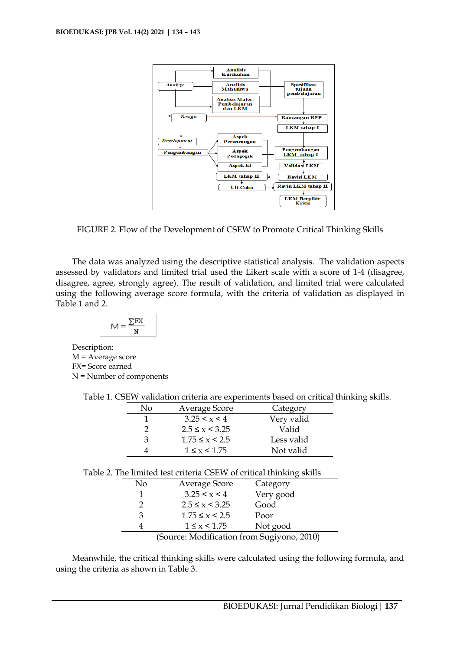

FIGURE 2. Flow of the Development of CSEW to Promote Critical Thinking Skills

The data was analyzed using the descriptive statistical analysis. The validation aspects assessed by validators and limited trial used the Likert scale with a score of 1-4 (disagree, disagree, agree, strongly agree). The result of validation, and limited trial were calculated using the following average score formula, with the criteria of validation as displayed in Table 1 and 2.

$$
M = \frac{\sum FX}{N}
$$

Description: M = Average score FX= Score earned N = Number of components

|  | Table 1. CSEW validation criteria are experiments based on critical thinking skills. |  |  |  |  |  |
|--|--------------------------------------------------------------------------------------|--|--|--|--|--|
|  |                                                                                      |  |  |  |  |  |

| No | Average Score        | Category   |
|----|----------------------|------------|
|    | 3.25 < x < 4         | Very valid |
|    | $2.5 \le x \le 3.25$ | Valid      |
| κ  | $1.75 \le x \le 2.5$ | Less valid |
|    | $1 \leq x \leq 1.75$ | Not valid  |

| Table 2. The limited test criteria CSEW of critical thinking skills |                                             |                      |           |  |  |  |  |  |
|---------------------------------------------------------------------|---------------------------------------------|----------------------|-----------|--|--|--|--|--|
| Average Score<br>No<br>Category                                     |                                             |                      |           |  |  |  |  |  |
|                                                                     |                                             | 3.25 < x < 4         | Very good |  |  |  |  |  |
|                                                                     |                                             | $2.5 \le x \le 3.25$ | Good      |  |  |  |  |  |
|                                                                     | З                                           | $1.75 \le x \le 2.5$ | Poor      |  |  |  |  |  |
|                                                                     |                                             | $1 \leq x \leq 1.75$ | Not good  |  |  |  |  |  |
|                                                                     | $(Souron: Modification from Gudivono 2010)$ |                      |           |  |  |  |  |  |

(Source: Modification from Sugiyono, 2010)

Meanwhile, the critical thinking skills were calculated using the following formula, and using the criteria as shown in Table 3.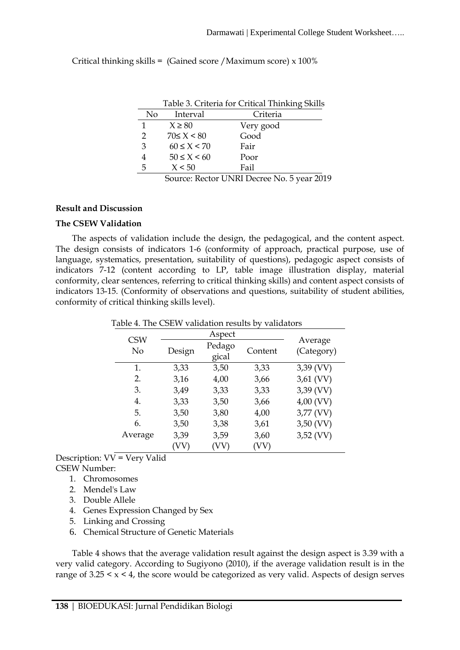Critical thinking skills = (Gained score /Maximum score) x 100%

|                | Table 3. Criteria for Critical Thinking Skills |           |  |  |  |  |  |  |
|----------------|------------------------------------------------|-----------|--|--|--|--|--|--|
| N <sub>o</sub> | Interval                                       | Criteria  |  |  |  |  |  |  |
| $\mathbf{1}$   | $X \ge 80$                                     | Very good |  |  |  |  |  |  |
| 2              | $70 \le X \le 80$                              | Good      |  |  |  |  |  |  |
| 3              | $60 \le X \le 70$                              | Fair      |  |  |  |  |  |  |
| 4              | $50 \leq X \leq 60$                            | Poor      |  |  |  |  |  |  |
| 5              | X < 50                                         | Fail      |  |  |  |  |  |  |
|                |                                                |           |  |  |  |  |  |  |

Source: Rector UNRI Decree No. 5 year 2019

## **Result and Discussion**

## **The CSEW Validation**

The aspects of validation include the design, the pedagogical, and the content aspect. The design consists of indicators 1-6 (conformity of approach, practical purpose, use of language, systematics, presentation, suitability of questions), pedagogic aspect consists of indicators 7-12 (content according to LP, table image illustration display, material conformity, clear sentences, referring to critical thinking skills) and content aspect consists of indicators 13-15. (Conformity of observations and questions, suitability of student abilities, conformity of critical thinking skills level).

| able 4. The CSEW validation results by validators |        |      |         |                       |  |  |
|---------------------------------------------------|--------|------|---------|-----------------------|--|--|
|                                                   |        |      |         |                       |  |  |
| <b>CSW</b><br>No                                  | Design |      | Content | Average<br>(Category) |  |  |
| 1.                                                | 3,33   | 3,50 | 3,33    | $3,39$ (VV)           |  |  |
| 2.                                                | 3,16   | 4,00 | 3,66    | 3,61 (VV)             |  |  |
| 3.                                                | 3,49   | 3,33 | 3,33    | 3,39 (VV)             |  |  |
| 4.                                                | 3,33   | 3,50 | 3,66    | 4,00 (VV)             |  |  |
| 5.                                                | 3,50   | 3,80 | 4,00    | 3,77 (VV)             |  |  |
| 6.                                                | 3,50   | 3,38 | 3,61    | 3,50 (VV)             |  |  |
| Average                                           | 3,39   | 3,59 | 3,60    | $3,52$ (VV)           |  |  |
|                                                   | 'VV    |      | VV      |                       |  |  |

Table 4. The CSEW validation results by validat

Description:  $VV = V$ ery Valid

CSEW Number:

- 1. Chromosomes
- 2. Mendel's Law
- 3. Double Allele
- 4. Genes Expression Changed by Sex
- 5. Linking and Crossing
- 6. Chemical Structure of Genetic Materials

Table 4 shows that the average validation result against the design aspect is 3.39 with a very valid category. According to Sugiyono (2010), if the average validation result is in the range of  $3.25 \le x \le 4$ , the score would be categorized as very valid. Aspects of design serves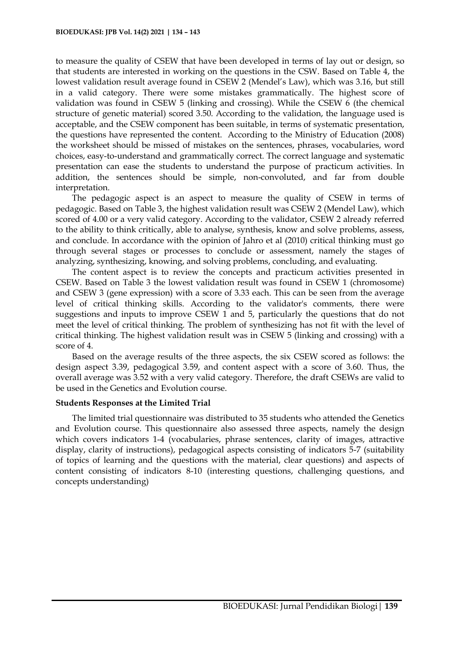to measure the quality of CSEW that have been developed in terms of lay out or design, so that students are interested in working on the questions in the CSW. Based on Table 4, the lowest validation result average found in CSEW 2 (Mendel's Law), which was 3.16, but still in a valid category. There were some mistakes grammatically. The highest score of validation was found in CSEW 5 (linking and crossing). While the CSEW 6 (the chemical structure of genetic material) scored 3.50. According to the validation, the language used is acceptable, and the CSEW component has been suitable, in terms of systematic presentation, the questions have represented the content. According to the Ministry of Education (2008) the worksheet should be missed of mistakes on the sentences, phrases, vocabularies, word choices, easy-to-understand and grammatically correct. The correct language and systematic presentation can ease the students to understand the purpose of practicum activities. In addition, the sentences should be simple, non-convoluted, and far from double interpretation.

The pedagogic aspect is an aspect to measure the quality of CSEW in terms of pedagogic. Based on Table 3, the highest validation result was CSEW 2 (Mendel Law), which scored of 4.00 or a very valid category. According to the validator, CSEW 2 already referred to the ability to think critically, able to analyse, synthesis, know and solve problems, assess, and conclude. In accordance with the opinion of Jahro et al (2010) critical thinking must go through several stages or processes to conclude or assessment, namely the stages of analyzing, synthesizing, knowing, and solving problems, concluding, and evaluating.

The content aspect is to review the concepts and practicum activities presented in CSEW. Based on Table 3 the lowest validation result was found in CSEW 1 (chromosome) and CSEW 3 (gene expression) with a score of 3.33 each. This can be seen from the average level of critical thinking skills. According to the validator's comments, there were suggestions and inputs to improve CSEW 1 and 5, particularly the questions that do not meet the level of critical thinking. The problem of synthesizing has not fit with the level of critical thinking. The highest validation result was in CSEW 5 (linking and crossing) with a score of 4.

Based on the average results of the three aspects, the six CSEW scored as follows: the design aspect 3.39, pedagogical 3.59, and content aspect with a score of 3.60. Thus, the overall average was 3.52 with a very valid category. Therefore, the draft CSEWs are valid to be used in the Genetics and Evolution course.

#### **Students Responses at the Limited Trial**

The limited trial questionnaire was distributed to 35 students who attended the Genetics and Evolution course. This questionnaire also assessed three aspects, namely the design which covers indicators 1-4 (vocabularies, phrase sentences, clarity of images, attractive display, clarity of instructions), pedagogical aspects consisting of indicators 5-7 (suitability of topics of learning and the questions with the material, clear questions) and aspects of content consisting of indicators 8-10 (interesting questions, challenging questions, and concepts understanding)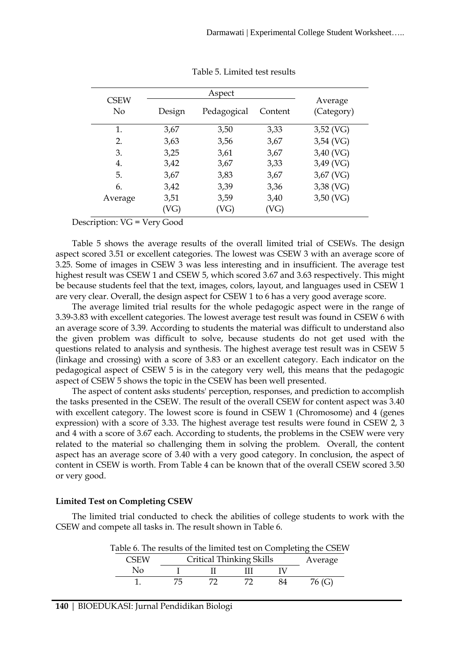|        | Aspect      |         |                       |
|--------|-------------|---------|-----------------------|
| Design | Pedagogical | Content | Average<br>(Category) |
| 3,67   | 3,50        | 3,33    | $3,52$ (VG)           |
| 3,63   | 3,56        | 3,67    | $3,54$ (VG)           |
| 3,25   | 3,61        | 3,67    | 3,40 (VG)             |
| 3,42   | 3,67        | 3,33    | 3,49 (VG)             |
| 3,67   | 3,83        | 3,67    | 3,67 (VG)             |
| 3,42   | 3,39        | 3,36    | 3,38 (VG)             |
| 3,51   | 3,59        | 3,40    | $3,50$ (VG)           |
|        | VG)         | VG)     | 'VG)                  |

Table 5. Limited test results

Description: VG = Very Good

Table 5 shows the average results of the overall limited trial of CSEWs. The design aspect scored 3.51 or excellent categories. The lowest was CSEW 3 with an average score of 3.25. Some of images in CSEW 3 was less interesting and in insufficient. The average test highest result was CSEW 1 and CSEW 5, which scored 3.67 and 3.63 respectively. This might be because students feel that the text, images, colors, layout, and languages used in CSEW 1 are very clear. Overall, the design aspect for CSEW 1 to 6 has a very good average score.

The average limited trial results for the whole pedagogic aspect were in the range of 3.39-3.83 with excellent categories. The lowest average test result was found in CSEW 6 with an average score of 3.39. According to students the material was difficult to understand also the given problem was difficult to solve, because students do not get used with the questions related to analysis and synthesis. The highest average test result was in CSEW 5 (linkage and crossing) with a score of 3.83 or an excellent category. Each indicator on the pedagogical aspect of CSEW 5 is in the category very well, this means that the pedagogic aspect of CSEW 5 shows the topic in the CSEW has been well presented.

The aspect of content asks students' perception, responses, and prediction to accomplish the tasks presented in the CSEW. The result of the overall CSEW for content aspect was 3.40 with excellent category. The lowest score is found in CSEW 1 (Chromosome) and 4 (genes expression) with a score of 3.33. The highest average test results were found in CSEW 2, 3 and 4 with a score of 3.67 each. According to students, the problems in the CSEW were very related to the material so challenging them in solving the problem. Overall, the content aspect has an average score of 3.40 with a very good category. In conclusion, the aspect of content in CSEW is worth. From Table 4 can be known that of the overall CSEW scored 3.50 or very good.

## **Limited Test on Completing CSEW**

The limited trial conducted to check the abilities of college students to work with the CSEW and compete all tasks in. The result shown in Table 6.

| Table 6. The results of the limited test on Completing the CSEW |                                 |         |  |    |        |  |  |
|-----------------------------------------------------------------|---------------------------------|---------|--|----|--------|--|--|
| <b>CSEW</b>                                                     | <b>Critical Thinking Skills</b> | Average |  |    |        |  |  |
| Nο                                                              |                                 |         |  |    |        |  |  |
|                                                                 | 75.                             |         |  | 84 | 76 (G) |  |  |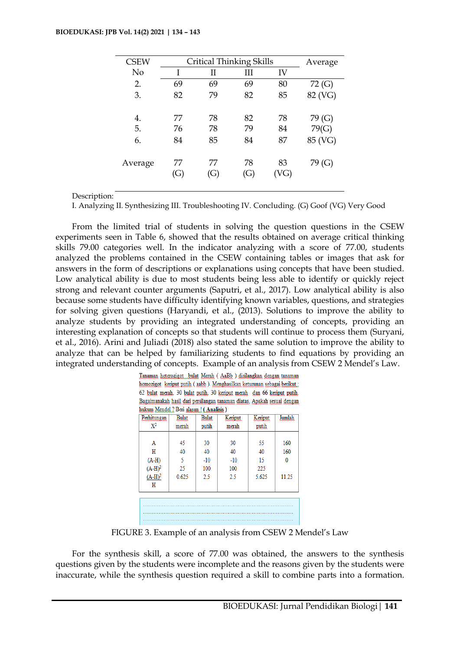| <b>CSEW</b> | <b>Critical Thinking Skills</b> | Average   |           |           |         |
|-------------|---------------------------------|-----------|-----------|-----------|---------|
| No          |                                 | Н         | Ш         | IV        |         |
| 2.          | 69                              | 69        | 69        | 80        | 72 (G)  |
| 3.          | 82                              | 79        | 82        | 85        | 82 (VG) |
| 4.          | 77                              | 78        | 82        | 78        | 79 (G)  |
| 5.          | 76                              | 78        | 79        | 84        | 79(G)   |
| 6.          | 84                              | 85        | 84        | 87        | 85 (VG) |
| Average     | 77<br>(G)                       | 77<br>(G) | 78<br>(G) | 83<br>VG) | 79 (G)  |

Description:

I. Analyzing II. Synthesizing III. Troubleshooting IV. Concluding. (G) Goof (VG) Very Good

From the limited trial of students in solving the question questions in the CSEW experiments seen in Table 6, showed that the results obtained on average critical thinking skills 79.00 categories well. In the indicator analyzing with a score of 77.00, students analyzed the problems contained in the CSEW containing tables or images that ask for answers in the form of descriptions or explanations using concepts that have been studied. Low analytical ability is due to most students being less able to identify or quickly reject strong and relevant counter arguments (Saputri, et al., 2017). Low analytical ability is also because some students have difficulty identifying known variables, questions, and strategies for solving given questions (Haryandi, et al., (2013). Solutions to improve the ability to analyze students by providing an integrated understanding of concepts, providing an interesting explanation of concepts so that students will continue to process them (Suryani, et al., 2016). Arini and Juliadi (2018) also stated the same solution to improve the ability to analyze that can be helped by familiarizing students to find equations by providing an integrated understanding of concepts. Example of an analysis from CSEW 2 Mendel's Law.

| Tanaman heterozigot bulat Merah (AaBb) disilangkan dengan tanaman                |  |  |  |  |  |  |  |
|----------------------------------------------------------------------------------|--|--|--|--|--|--|--|
| <u>iomozigot keriput putih (aabb ). Menghasilkan keturunan sebagai berikut :</u> |  |  |  |  |  |  |  |
| 52 bulat merah, 30 bulat putih, 30 keriput merah dan 66 keriput putih.           |  |  |  |  |  |  |  |
| Bagaimanakah hasil dari persilangan tanaman diatas. Apakah sesuai dengan         |  |  |  |  |  |  |  |
| ukum Mendel ? Beri alasan ! (Analisis)                                           |  |  |  |  |  |  |  |

| Perhitungan<br>$X^2$                             | <b>Bulat</b><br>merah        | <b>Bulat</b><br>putih           | Keriput<br>merah                | Keriput<br>putih               | Jumlah              |  |  |
|--------------------------------------------------|------------------------------|---------------------------------|---------------------------------|--------------------------------|---------------------|--|--|
| A<br>Н<br>$(A-H)$<br>$(A-H)^2$<br>$(A-H)^2$<br>Н | 45<br>40<br>5<br>25<br>0.625 | 30<br>40<br>$-10$<br>100<br>2.5 | 30<br>40<br>$-10$<br>100<br>2.5 | 55<br>40<br>15<br>225<br>5.625 | 160<br>160<br>11.25 |  |  |
|                                                  |                              |                                 |                                 |                                |                     |  |  |

FIGURE 3. Example of an analysis from CSEW 2 Mendel's Law

For the synthesis skill, a score of 77.00 was obtained, the answers to the synthesis questions given by the students were incomplete and the reasons given by the students were inaccurate, while the synthesis question required a skill to combine parts into a formation.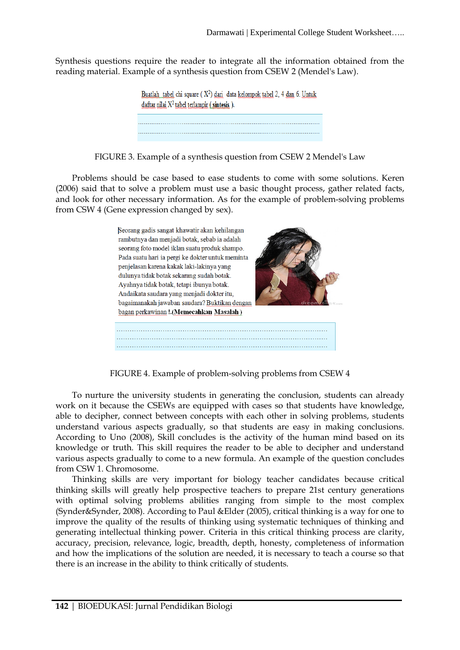Synthesis questions require the reader to integrate all the information obtained from the reading material. Example of a synthesis question from CSEW 2 (Mendel's Law).

> Buatlah tabel chi square ( $X^2$ ) dari data kelompok tabel 2, 4 dan 6. Untuk daftar nilai  $X^2$  tabel terlampir (sintesis).

FIGURE 3. Example of a synthesis question from CSEW 2 Mendel's Law

Problems should be case based to ease students to come with some solutions. Keren (2006) said that to solve a problem must use a basic thought process, gather related facts, and look for other necessary information. As for the example of problem-solving problems from CSW 4 (Gene expression changed by sex).



FIGURE 4. Example of problem-solving problems from CSEW 4

To nurture the university students in generating the conclusion, students can already work on it because the CSEWs are equipped with cases so that students have knowledge, able to decipher, connect between concepts with each other in solving problems, students understand various aspects gradually, so that students are easy in making conclusions. According to Uno (2008), Skill concludes is the activity of the human mind based on its knowledge or truth. This skill requires the reader to be able to decipher and understand various aspects gradually to come to a new formula. An example of the question concludes from CSW 1. Chromosome.

Thinking skills are very important for biology teacher candidates because critical thinking skills will greatly help prospective teachers to prepare 21st century generations with optimal solving problems abilities ranging from simple to the most complex (Synder&Synder, 2008). According to Paul &Elder (2005), critical thinking is a way for one to improve the quality of the results of thinking using systematic techniques of thinking and generating intellectual thinking power. Criteria in this critical thinking process are clarity, accuracy, precision, relevance, logic, breadth, depth, honesty, completeness of information and how the implications of the solution are needed, it is necessary to teach a course so that there is an increase in the ability to think critically of students.